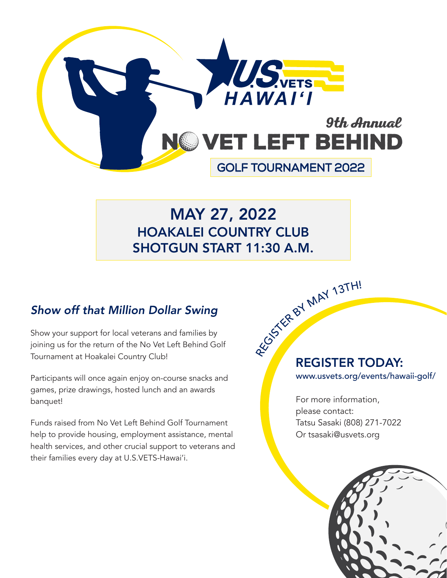

# MAY 27, 2022 HOAKALEI COUNTRY CLUB SHOTGUN START 11:30 A.M.

## *Show off that Million Dollar Swing*

Show your support for local veterans and families by joining us for the return of the No Vet Left Behind Golf Tournament at Hoakalei Country Club!

Participants will once again enjoy on-course snacks and games, prize drawings, hosted lunch and an awards banquet!

Funds raised from No Vet Left Behind Golf Tournament help to provide housing, employment assistance, mental health services, and other crucial support to veterans and their families every day at U.S.VETS-Hawai'i.

# REGISTER TODAY: REGISTER BY MAY 13TH!

www.usvets.org/events/hawaii-golf/

For more information, please contact: Tatsu Sasaki (808) 271-7022 Or tsasaki@usvets.org